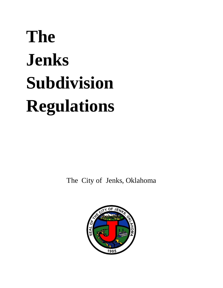# **The Jenks Subdivision Regulations**

The City of Jenks, Oklahoma

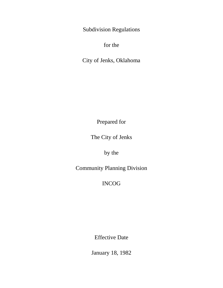Subdivision Regulations

for the

City of Jenks, Oklahoma

Prepared for

The City of Jenks

by the

Community Planning Division

INCOG

Effective Date

January 18, 1982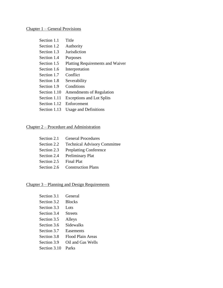#### Chapter 1 – General Provisions

| Section 1.1  | Title                                   |
|--------------|-----------------------------------------|
| Section 1.2  | Authority                               |
| Section 1.3  | Jurisdiction                            |
| Section 1.4  | Purposes                                |
| Section 1.5  | <b>Platting Requirements and Waiver</b> |
| Section 1.6  | Interpretation                          |
| Section 1.7  | Conflict                                |
| Section 1.8  | Severability                            |
| Section 1.9  | Conditions                              |
| Section 1.10 | <b>Amendments of Regulation</b>         |
| Section 1.11 | <b>Exceptions and Lot Splits</b>        |
| Section 1.12 | Enforcement                             |
| Section 1.13 | <b>Usage and Definitions</b>            |

#### Chapter 2 – Procedure and Administration

|                        | Section 2.1 General Procedures           |
|------------------------|------------------------------------------|
|                        | Section 2.2 Technical Advisory Committee |
|                        | Section 2.3 Preplatting Conference       |
|                        | Section 2.4 Preliminary Plat             |
| Section 2.5 Final Plat |                                          |
|                        | Section 2.6 Construction Plans           |

#### Chapter 3 – Planning and Design Requirements

| Section 3.1  | General           |
|--------------|-------------------|
| Section 3.2  | <b>Blocks</b>     |
| Section 3.3  | Lots              |
| Section 3.4  | <b>Streets</b>    |
| Section 3.5  | Alleys            |
| Section 3.6  | Sidewalks         |
| Section 3.7  | Easements         |
| Section 3.8  | Flood Plain Areas |
| Section 3.9  | Oil and Gas Wells |
| Section 3.10 | Parks             |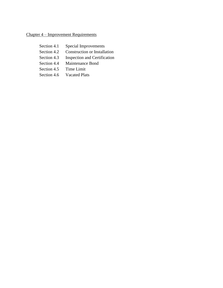### Chapter 4 – Improvement Requirements

| Section 4.1 | Special Improvements                |
|-------------|-------------------------------------|
| Section 4.2 | <b>Construction or Installation</b> |
| Section 4.3 | <b>Inspection and Certification</b> |
| Section 4.4 | <b>Maintenance Bond</b>             |
| Section 4.5 | Time Limit                          |
| Section 4.6 | <b>Vacated Plats</b>                |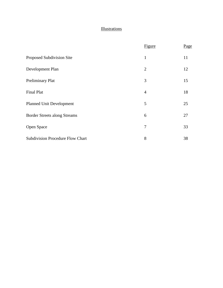#### **Illustrations**

|                                         | Figure         | Page |
|-----------------------------------------|----------------|------|
| Proposed Subdivision Site               | $\mathbf{1}$   | 11   |
| Development Plan                        | $\overline{2}$ | 12   |
| Preliminary Plat                        | 3              | 15   |
| <b>Final Plat</b>                       | $\overline{4}$ | 18   |
| <b>Planned Unit Development</b>         | 5              | 25   |
| <b>Border Streets along Streams</b>     | 6              | 27   |
| Open Space                              | 7              | 33   |
| <b>Subdivision Procedure Flow Chart</b> | 8              | 38   |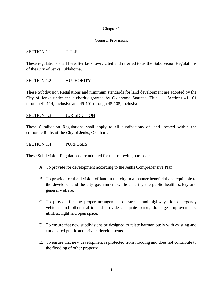#### Chapter 1

#### General Provisions

#### SECTION 1.1 TITLE

These regulations shall hereafter be known, cited and referred to as the Subdivision Regulations of the City of Jenks, Oklahoma.

#### SECTION 1.2 **AUTHORITY**

These Subdivision Regulations and minimum standards for land development are adopted by the City of Jenks under the authority granted by Oklahoma Statutes, Title 11, Sections 41-101 through 41-114, inclusive and 45-101 through 45-105, inclusive.

#### SECTION 1.3 JURISDICTION

These Subdivision Regulations shall apply to all subdivisions of land located within the corporate limits of the City of Jenks, Oklahoma.

#### SECTION 1.4 PURPOSES

These Subdivision Regulations are adopted for the following purposes:

- A. To provide for development according to the Jenks Comprehensive Plan.
- B. To provide for the division of land in the city in a manner beneficial and equitable to the developer and the city government while ensuring the public health, safety and general welfare.
- C. To provide for the proper arrangement of streets and highways for emergency vehicles and other traffic and provide adequate parks, drainage improvements, utilities, light and open space.
- D. To ensure that new subdivisions be designed to relate harmoniously with existing and anticipated public and private developments.
- E. To ensure that new development is protected from flooding and does not contribute to the flooding of other property.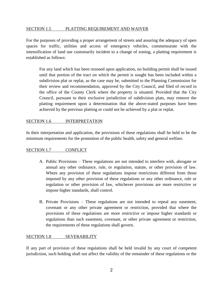#### SECTION 1.5 PLATTING REQUIREMENT AND WAIVER

For the purposes of providing a proper arrangement of streets and assuring the adequacy of open spaces for traffic, utilities and access of emergency vehicles, commensurate with the intensification of land use customarily incident to a change of zoning, a platting requirement is established as follows:

For any land which has been rezoned upon application, no building permit shall be issued until that portion of the tract on which the permit is sought has been included within a subdivision plat or replat, as the case may be, submitted to the Planning Commission for their review and recommendation, approved by the City Council, and filed of record in the office of the County Clerk where the property is situated. Provided that the City Council, pursuant to their exclusive jurisdiction of subdivision plats, may remove the platting requirement upon a determination that the above-stated purposes have been achieved by the previous platting or could not be achieved by a plat or replat.

#### SECTION 1.6 INTERPRETATION

In their interpretation and application, the provisions of these regulations shall be held to be the minimum requirements for the promotion of the public health, safety and general welfare.

#### SECTION 1.7 CONFLICT

- A. Public Provisions These regulations are not intended to interfere with, abrogate or annual any other ordinance, rule, or regulation, statute, or other provision of law. Where any provision of these regulations impose restrictions different from those imposed by any other provision of these regulations or any other ordinance, rule or regulation or other provision of law, whichever provisions are more restrictive or impose higher standards, shall control.
- B. Private Provisions These regulations are not intended to repeal any easement, covenant or any other private agreement or restriction, provided that where the provisions of these regulations are more restrictive or impose higher standards or regulations than such easement, covenant, or other private agreement or restriction, the requirements of these regulations shall govern.

#### SECTION 1.8 SEVERABILITY

If any part of provision of these regulations shall be held invalid by any court of competent jurisdiction, such holding shall not affect the validity of the remainder of these regulations or the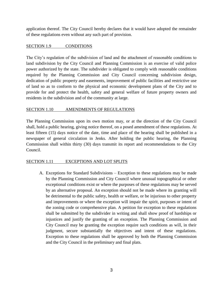application thereof. The City Council hereby declares that it would have adopted the remainder of these regulations even without any such part of provision.

#### SECTION 1.9 CONDITIONS

The City's regulation of the subdivision of land and the attachment of reasonable conditions to land subdivision by the City Council and Planning Commission is an exercise of valid police power authorized by the state. The subdivider is obligated to comply with reasonable conditions required by the Planning Commission and City Council concerning subdivision design, dedication of public property and easements, improvement of public facilities and restrictive use of land so as to conform to the physical and economic development plans of the City and to provide for and protect the health, safety and general welfare of future property owners and residents in the subdivision and of the community at large.

#### SECTION 1.10 AMENDMENTS OF REGULATIONS

The Planning Commission upon its own motion may, or at the direction of the City Council shall, hold a public hearing, giving notice thereof, on a posed amendment of these regulations. At least fifteen (15) days notice of the date, time and place of the hearing shall be published in a newspaper of general circulation in Jenks. After holding the public hearing, the Planning Commission shall within thirty (30) days transmit its report and recommendations to the City Council.

#### SECTION 1.11 EXCEPTIONS AND LOT SPLITS

A. Exceptions for Standard Subdivisions – Exception to these regulations may be made by the Planning Commission and City Council where unusual topographical or other exceptional conditions exist or where the purposes of these regulations may be served by an alternative proposal. An exception should not be made where its granting will be detrimental to the public safety, health or welfare, or be injurious to other property and improvements or where the exception will impair the spirit, purposes or intent of the zoning code or comprehensive plan. A petition for exception to these regulations shall be submitted by the subdivider in writing and shall show proof of hardships or injustices and justify the granting of an exception. The Planning Commission and City Council may be granting the exception require such conditions as will, in their judgment, secure substantially the objectives and intent of these regulations. Exception to these regulations shall be approved by both the Planning Commission and the City Council in the preliminary and final plats.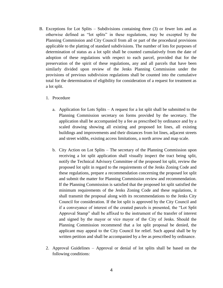- B. Exceptions for Lot Splits Subdivisions containing three (3) or fewer lots and as otherwise defined as "lot splits" in these regulations, may be excepted by the Planning Commission and City Council from all or part of the procedural provisions applicable to the platting of standard subdivisions. The number of lots for purposes of determination of status as a lot split shall be counted cumulatively from the date of adoption of these regulations with respect to each parcel, provided that for the preservation of the spirit of these regulations, any and all parcels that have been similarly divided upon review of the Jenks Planning Commission under the provisions of previous subdivision regulations shall be counted into the cumulative total for the determination of eligibility for consideration of a request for treatment as a lot split.
	- 1. Procedure
		- a. Application for Lots Splits A request for a lot split shall be submitted to the Planning Commission secretary on forms provided by the secretary. The application shall be accompanied by a fee as prescribed by ordinance and by a scaled drawing showing all existing and proposed lot lines, all existing buildings and improvements and their distances from lot lines, adjacent streets and street widths, existing access limitations, a north arrow and map scale.
		- b. City Action on Lot Splits The secretary of the Planning Commission upon receiving a lot split application shall visually inspect the tract being split, notify the Technical Advisory Committee of the proposed lot split, review the proposed lot split in regard to the requirements of the Jenks Zoning Code and these regulations, prepare a recommendation concerning the proposed lot split and submit the matter for Planning Commission review and recommendation. If the Planning Commission is satisfied that the proposed lot split satisfied the minimum requirements of the Jenks Zoning Code and these regulations, it shall transmit the proposal along with its recommendations to the Jenks City Council for consideration. If the lot split is approved by the City Council and if a conveyance of interest of the created parcels is presented, the "Lot Split Approval Stamp" shall be affixed to the instrument of the transfer of interest and signed by the mayor or vice mayor of the City of Jenks. Should the Planning Commission recommend that a lot split proposal be denied, the applicant may appeal to the City Council for relief. Such appeal shall be by written petition and shall be accompanied by a fee as prescribed by ordinance.
	- 2. Approval Guidelines Approval or denial of lot splits shall be based on the following conditions: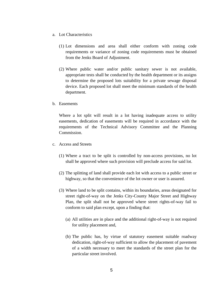- a. Lot Characteristics
	- (1) Lot dimensions and area shall either conform with zoning code requirements or variance of zoning code requirements must be obtained from the Jenks Board of Adjustment.
	- (2) Where public water and/or public sanitary sewer is not available, appropriate tests shall be conducted by the health department or its assigns to determine the proposed lots suitability for a private sewage disposal device. Each proposed lot shall meet the minimum standards of the health department.
- b. Easements

Where a lot split will result in a lot having inadequate access to utility easements, dedication of easements will be required in accordance with the requirements of the Technical Advisory Committee and the Planning Commission.

- c. Access and Streets
	- (1) Where a tract to be split is controlled by non-access provisions, no lot shall be approved where such provision will preclude access for said lot.
	- (2) The splitting of land shall provide each lot with access to a public street or highway, so that the convenience of the lot owner or user is assured.
	- (3) Where land to be split contains, within its boundaries, areas designated for street right-of-way on the Jenks City-County Major Street and Highway Plan, the split shall not be approved where street rights-of-way fail to conform to said plan except, upon a finding that:
		- (a) All utilities are in place and the additional right-of-way is not required for utility placement and,
		- (b) The public has, by virtue of statutory easement suitable roadway dedication, right-of-way sufficient to allow the placement of pavement of a width necessary to meet the standards of the street plan for the particular street involved.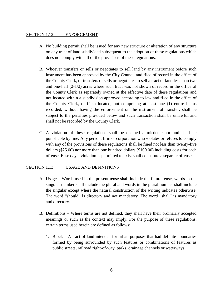#### SECTION 1.12 ENFORCEMENT

- A. No building permit shall be issued for any new structure or alteration of any structure on any tract of land subdivided subsequent to the adoption of these regulations which does not comply with all of the provisions of these regulations.
- B. Whoever transfers or sells or negotiates to sell land by any instrument before such instrument has been approved by the City Council and filed of record in the office of the County Clerk, or transfers or sells or negotiates to sell a tract of land less than two and one-half (2-1/2) acres where such tract was not shown of record in the office of the County Clerk as separately owned at the effective date of these regulations and not located within a subdivision approved according to law and filed in the office of the County Clerk, or if so located, not comprising at least one (1) entire lot as recorded, without having the enforcement on the instrument of transfer, shall be subject to the penalties provided below and such transaction shall be unlawful and shall not be recorded by the County Clerk.
- C. A violation of these regulations shall be deemed a misdemeanor and shall be punishable by fine. Any person, firm or corporation who violates or refuses to comply with any of the provisions of these regulations shall be fined not less than twenty-five dollars (\$25.00) nor more than one hundred dollars (\$100.00) including costs for each offense. Ease day a violation is permitted to exist shall constitute a separate offense.

#### SECTION 1.13 USAGE AND DEFINITIONS

- A. Usage Words used in the present tense shall include the future tense, words in the singular number shall include the plural and words in the plural number shall include the singular except where the natural construction of the writing indicates otherwise. The word "should" is directory and not mandatory. The word "shall" is mandatory and directory.
- B. Definitions Where terms are not defined, they shall have their ordinarily accepted meanings or such as the context may imply. For the purpose of these regulations, certain terms used herein are defined as follows:
	- 1. Block A tract of land intended for urban purposes that had definite boundaries formed by being surrounded by such features or combinations of features as public streets, railroad right-of-way, parks, drainage channels or waterways.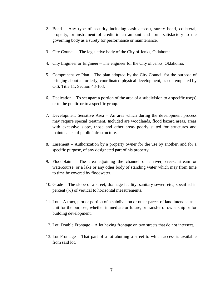- 2. Bond Any type of security including cash deposit, surety bond, collateral, property, or instrument of credit in an amount and form satisfactory to the governing body as a surety for performance or maintenance.
- 3. City Council The legislative body of the City of Jenks, Oklahoma.
- 4. City Engineer or Engineer The engineer for the City of Jenks, Oklahoma.
- 5. Comprehensive Plan The plan adopted by the City Council for the purpose of bringing about an orderly, coordinated physical development, as contemplated by O,S, Title 11, Section 43-103.
- 6. Dedication To set apart a portion of the area of a subdivision to a specific use(s) or to the public or to a specific group.
- 7. Development Sensitive Area An area which during the development process may require special treatment. Included are woodlands, flood hazard areas, areas with excessive slope, those and other areas poorly suited for structures and maintenance of public infrastructure.
- 8. Easement Authorization by a property owner for the use by another, and for a specific purpose, of any designated part of his property.
- 9. Floodplain The area adjoining the channel of a river, creek, stream or watercourse, or a lake or any other body of standing water which may from time to time be covered by floodwater.
- 10. Grade The slope of a street, drainage facility, sanitary sewer, etc., specified in percent (%) of vertical to horizontal measurements.
- 11. Lot A tract, plot or portion of a subdivision or other parcel of land intended as a unit for the purpose, whether immediate or future, or transfer of ownership or for building development.
- 12. Lot, Double Frontage A lot having frontage on two streets that do not intersect.
- 13. Lot Frontage That part of a lot abutting a street to which access is available from said lot.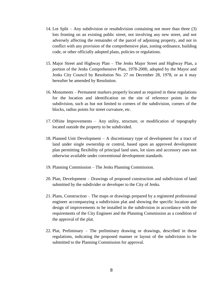- 14. Lot Split Any subdivision or resubdivision containing not more than three (3) lots fronting on an existing public street, not involving any new street, and not adversely affecting the remainder of the parcel of adjoining property, and not in conflict with any provision of the comprehensive plan, zoning ordinance, building code, or other officially adopted plans, policies or regulations.
- 15. Major Street and Highway Plan The Jenks Major Street and Highway Plan, a portion of the Jenks Comprehensive Plan, 1978-2000, adopted by the Mayor and Jenks City Council by Resolution No. 27 on December 28, 1978, or as it may hereafter be amended by Resolution.
- 16. Monuments Permanent markers properly located as required in these regulations for the location and identification on the site of reference points in the subdivision, such as but not limited to corners of the subdivision, corners of the blocks, radius points for street curvature, etc.
- 17. Offsite Improvements Any utility, structure, or modification of topography located outside the property to be subdivided.
- 18. Planned Unit Development A discretionary type of development for a tract of land under single ownership or control, based upon an approved development plan permitting flexibility of principal land uses, lot sizes and accessory uses not otherwise available under conventional development standards.
- 19. Planning Commission The Jenks Planning Commission.
- 20. Plan, Development Drawings of proposed construction and subdivision of land submitted by the subdivider or developer to the City of Jenks.
- 21. Plans, Construction The maps or drawings prepared by a registered professional engineer accompanying a subdivision plat and showing the specific location and design of improvements to be installed in the subdivision in accordance with the requirements of the City Engineer and the Planning Commission as a condition of the approval of the plat.
- 22. Plat, Preliminary The preliminary drawing or drawings, described in these regulations, indicating the proposed manner or layout of the subdivision to be submitted to the Planning Commission for approval.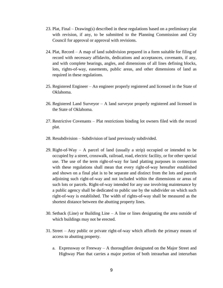- 23. Plat, Final Drawing(s) described in these regulations based on a preliminary plat with revision, if any, to be submitted to the Planning Commission and City Council for approval or approval with revisions.
- 24. Plat, Record A map of land subdivision prepared in a form suitable for filing of record with necessary affidavits, dedications and acceptances, covenants, if any, and with complete bearings, angles, and dimensions of all lines defining blocks, lots, rights-of-way, easements, public areas, and other dimensions of land as required in these regulations.
- 25. Registered Engineer An engineer properly registered and licensed in the State of Oklahoma.
- 26. Registered Land Surveyor A land surveyor properly registered and licensed in the State of Oklahoma.
- 27. Restrictive Covenants Plat restrictions binding lot owners filed with the record plat.
- 28. Resubdivision Subdivision of land previously subdivided.
- 29. Right-of-Way A parcel of land (usually a strip) occupied or intended to be occupied by a street, crosswalk, railroad, road, electric facility, or for other special use. The use of the term right-of-way for land platting purposes in connection with these regulations shall mean that every right-of-way hereafter established and shown on a final plat is to be separate and distinct from the lots and parcels adjoining such right-of-way and not included within the dimensions or areas of such lots or parcels. Right-of-way intended for any use involving maintenance by a public agency shall be dedicated to public use by the subdivider on which such right-of-way is established. The width of rights-of-way shall be measured as the shortest distance between the abutting property lines.
- 30. Setback (Line) or Building Line A line or lines designating the area outside of which buildings may not be erected.
- 31. Street Any public or private right-of-way which affords the primary means of access to abutting property.
	- a. Expressway or Freeway  $A$  thoroughfare designated on the Major Street and Highway Plan that carries a major portion of both intraurban and interurban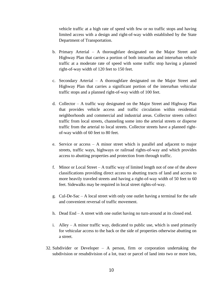vehicle traffic at a high rate of speed with few or no traffic stops and having limited access with a design and right-of-way width established by the State Department of Transportation.

- b. Primary Arterial A thoroughfare designated on the Major Street and Highway Plan that carries a portion of both intraurban and interurban vehicle traffic at a moderate rate of speed with some traffic stop having a planned right-of-way width of 120 feet to 150 feet.
- c. Secondary Arterial A thoroughfare designated on the Major Street and Highway Plan that carries a significant portion of the interurban vehicular traffic stops and a planned right-of-way width of 100 feet.
- d. Collector A traffic way designated on the Major Street and Highway Plan that provides vehicle access and traffic circulation within residential neighborhoods and commercial and industrial areas. Collector streets collect traffic from local streets, channeling some into the arterial streets or disperse traffic from the arterial to local streets. Collector streets have a planned rightof-way width of 60 feet to 80 feet.
- e. Service or access A minor street which is parallel and adjacent to major streets, traffic ways, highways or railroad rights-of-way and which provides access to abutting properties and protection from through traffic.
- f. Minor or Local Street A traffic way of limited length not of one of the above classifications providing direct access to abutting tracts of land and access to more heavily traveled streets and having a right-of-way width of 50 feet to 60 feet. Sidewalks may be required in local street rights-of-way.
- g. Cul-De-Sac A local street with only one outlet having a terminal for the safe and convenient reversal of traffic movement.
- h. Dead End A street with one outlet having no turn-around at its closed end.
- i. Alley A minor traffic way, dedicated to public use, which is used primarily for vehicular access to the back or the side of properties otherwise abutting on a street.
- 32. Subdivider or Developer A person, firm or corporation undertaking the subdivision or resubdivision of a lot, tract or parcel of land into two or more lots,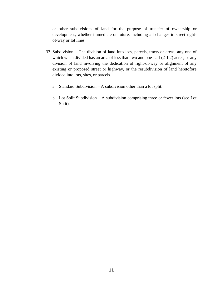or other subdivisions of land for the purpose of transfer of ownership or development, whether immediate or future, including all changes in street rightof-way or lot lines.

- 33. Subdivision The division of land into lots, parcels, tracts or areas, any one of which when divided has an area of less than two and one-half  $(2-1.2)$  acres, or any division of land involving the dedication of right-of-way or alignment of any existing or proposed street or highway, or the resubdivision of land heretofore divided into lots, sites, or parcels.
	- a. Standard Subdivision A subdivision other than a lot split.
	- b. Lot Split Subdivision A subdivision comprising three or fewer lots (see Lot Split).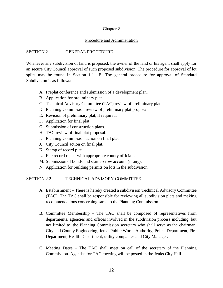#### Chapter 2

#### Procedure and Administration

#### SECTION 2.1 GENERAL PROCEDURE

Whenever any subdivision of land is proposed, the owner of the land or his agent shall apply for an secure City Council approval of such proposed subdivision. The procedure for approval of lot splits may be found in Section 1.11 B. The general procedure for approval of Standard Subdivision is as follows:

- A. Preplat conference and submission of a development plan.
- B. Application for preliminary plat.
- C. Technical Advisory Committee (TAC) review of preliminary plat.
- D. Planning Commission review of preliminary plat proposal.
- E. Revision of preliminary plat, if required.
- F. Application for final plat.
- G. Submission of construction plans.
- H. TAC review of final plat proposal.
- I. Planning Commission action on final plat.
- J. City Council action on final plat.
- K. Stamp of record plat.
- L. File record replat with appropriate county officials.
- M. Submission of bonds and start escrow account (if any).
- N. Application for building permits on lots in the subdivision.

#### SECTION 2.2 TECHNICAL ADVISORY COMMITTEE

- A. Establishment There is hereby created a subdivision Technical Advisory Committee (TAC). The TAC shall be responsible for reviewing all subdivision plats and making recommendations concerning same to the Planning Commission.
- B. Committee Membership The TAC shall be composed of representatives from departments, agencies and offices involved in the subdivision process including, but not limited to, the Planning Commission secretary who shall serve as the chairman, City and County Engineering, Jenks Public Works Authority, Police Department, Fire Department, Health Department, utility companies and City Manager.
- C. Meeting Dates The TAC shall meet on call of the secretary of the Planning Commission. Agendas for TAC meeting will be posted in the Jenks City Hall.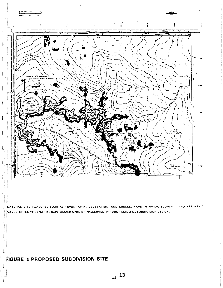

NATURAL SITE FEATURES SUCH AS TOPOGRAPHY, VEGETATION, AND CREEKS, HAVE INTRINSIC ECONOMIC AND AESTHETIC VALUE, OFTEN THEY CAN BE CAPITALIZED UPON OR PRESERVED THROUGH SKILLFUL SUBDIVISION DESIGN.

## **FIGURE 1 PROPOSED SUBDIVISION SITE**

U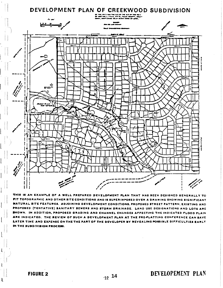

THIS IS AN EXAMPLE OF A WELL PREPARED DEVELOPMENT PLAN THAT HAS BEEN DESIGNED GENERALLY TO FIT TOPOGRAPHIC AND OTHER SITE CONDITIONS AND IS SUPERIMPOSED OVER A DRAWING SHOWING SIGNIFICANT NATURAL SITE FEATURES. ADJOINING DEVELOPMENT CONDITIONS, PROPOSED STREET PATTERN, EXISTING AND PROPOSED (TENTATIVE) SANITARY SEWERS AND STORM DRAINAGE. LAND USE DESIGNATIONS AND LOTS ARE SHOWN. IN ADDITION, PROPOSED GRADING AND CHANNEL CHANGES AFFECTING THE INDICATED FLOOD PLAIN ARE INDICATED. THE REVIEW OF SUCH A DEVELOPMENT PLAN AT THE PRE-PLATTING CONFERENCE CAN SAVE LATER TIME AND EXPENSE ON THE THE PART OF THE DEVELOPER BY REVEALING POSSIBLE DIFFICULTIES EARLY IN THE SUBDIVISION PROCESS.

**FIGURE 2** 

 $\mathbf{t}$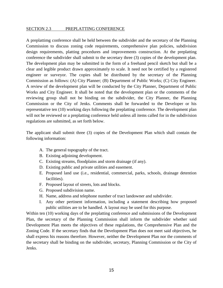#### SECTION 2.3 PREPLATTING CONFERENCE

A preplattimg conference shall be held between the subdivider and the secretary of the Planning Commission to discuss zoning code requirements, comprehensive plan policies, subdivision design requirements, platting procedures and improvements construction. At the preplatting conference the subdivider shall submit to the secretary three (3) copies of the development plan. The development plan may be submitted in the form of a freehand pencil sketch but shall be a clear and legible product drawn approximately to scale. It need not be certified by a registered engineer or surveyor. The copies shall be distributed by the secretary of the Planning Commission as follows: (A) City Planner; (B) Department of Public Works; (C) City Engineer. A review of the development plan will be conducted by the City Planner, Department of Public Works and City Engineer. It shall be noted that the development plan or the comments of the reviewing group shall not be binding on the subdivider, the City Planner, the Planning Commission or the City of Jenks. Comments shall be forwarded to the Developer or his representative ten (10) working days following the preplatting conference. The development plan will not be reviewed or a preplatting conference held unless all items called for in the subdivision regulations are submitted, as set forth below.

The applicant shall submit three (3) copies of the Development Plan which shall contain the following information:

- A. The general topography of the tract.
- B. Existing adjoining development.
- C. Existing streams, floodplains and storm drainage (if any).
- D. Existing public and private utilities and easement.
- E. Proposed land use (i.e., residential, commercial, parks, schools, drainage detention facilities).
- F. Proposed layout of streets, lots and blocks.
- G. Proposed subdivision name.
- H. Name, address and telephone number of tract landowner and subdivider.
- I. Any other pertinent information, including a statement describing how proposed public utilities are to be handled. A layout may be used for this purpose.

Within ten (10) working days of the preplatting conference and submissions of the Development Plan, the secretary of the Planning Commission shall inform the subdivider whether said Development Plan meets the objectives of these regulations, the Comprehensive Plan and the Zoning Code. If the secretary finds that the Development Plan does not meet said objectives, he shall express his reasons therefore. However, neither the Development Plan nor the comments of the secretary shall be binding on the subdivider, secretary, Planning Commission or the City of Jenks.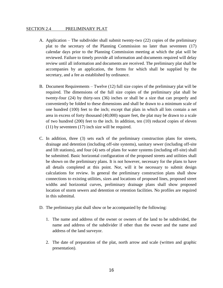#### SECTION 2.4 PRELIMINARY PLAT

- A. Application The subdivider shall submit twenty-two (22) copies of the preliminary plat to the secretary of the Planning Commission no later than seventeen (17) calendar days prior to the Planning Commission meeting at which the plat will be reviewed. Failure to timely provide all information and documents required will delay review until all information and documents are received. The preliminary plat shall be accompanies by an application, the forms for which shall be supplied by the secretary, and a fee as established by ordinance.
- B. Document Requirements Twelve (12) full size copies of the preliminary plat will be required. The dimensions of the full size copies of the preliminary plat shall be twenty-four (24) by thirty-sox (36) inches or shall be a size that can properly and conveniently be folded to these dimensions and shall be drawn to a minimum scale of one hundred (100) feet to the inch; except that plats in which all lots contain a net area in excess of forty thousand (40,000) square feet, the plat may be drawn to a scale of two hundred (200) feet to the inch. In addition, ten (10) reduced copies of eleven (11) by seventeen (17) inch size will be required.
- C. In addition, three (3) sets each of the preliminary construction plans for streets, drainage and detention (including off-site systems), sanitary sewer (including off-site and lift stations), and four (4) sets of plans for water systems (including off-site) shall be submitted. Basic horizontal configuration of the proposed streets and utilities shall be shown on the preliminary plans. It is not however, necessary for the plans to have all details completed at this point. Nor, will it be necessary to submit design calculations for review. In general the preliminary construction plans shall show connections to existing utilities, sizes and locations of proposed lines, proposed street widths and horizontal curves, preliminary drainage plans shall show proposed location of storm sewers and detention or retention facilities. No profiles are required in this submittal.
- D. The preliminary plat shall show or be accompanied by the following:
	- 1. The name and address of the owner or owners of the land to be subdivided, the name and address of the subdivider if other than the owner and the name and address of the land surveyor.
	- 2. The date of preparation of the plat, north arrow and scale (written and graphic presentation).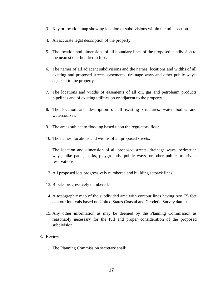- 3. Key or location map showing location of subdivisions within the mile section.
- 4. An accurate legal description of the property.
- 5. The location and dimensions of all boundary lines of the proposed subdivision to the nearest one-hundredth foot.
- 6. The names of all adjacent subdivisions and the names, locations and widths of all existing and proposed streets, easements, drainage ways and other public ways, adjacent to the property.
- 7. The locations and widths of easements of all oil, gas and petroleum products pipelines and of existing utilities on or adjacent to the property.
- 8. The location and description of all existing structures, water bodies and watercourses.
- 9. The areas subject to flooding based upon the regulatory floor.
- 10. The names, locations and widths of all proposed streets.
- 11. The location and dimension of all proposed streets, drainage ways, pedestrian ways, bike paths, parks, playgrounds, public ways, or other public or private reservations.
- 12. All proposed lots progressively numbered and building setback lines.
- 13. Blocks progressively numbered.
- 14. A topographic map of the subdivided area with contour lines having two (2) feet contour intervals based on United States Coastal and Geodetic Survey datum.
- 15. Any other information as may be deemed by the Planning Commission as reasonably necessary for the full and proper consideration of the proposed subdivision.
- E. Review
	- 1. The Planning Commission secretary shall: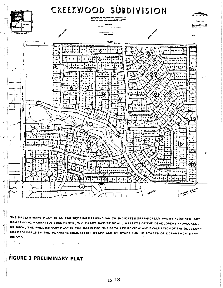

THE PRELIMINARY PLAT IS AN ENGINEERING DRAWING WHICH INDICATES GRAPHICALLY AND BY REQUIRED AC-COMPANYING NARRATIVE DOCUMENTS, THE EXACT NATURE OF ALL ASPECTS OF THE DEVELOPERS PROPOSALS. AS SUCH, THE PRELIMINARY PLAT IS THE BASIS FOR THE DETAILED REVIEW AND EVALUATION OF THE DEVELOP-ERS PROPOSALS BY THE PLANNING COMMISSION STAFF AND BY OTHER PUBLIC STAFFS OR DEPARTMENTS IN-VOLVID.

 $\sim$ 

#### FIGURE 3 PRELIMINARY PLAT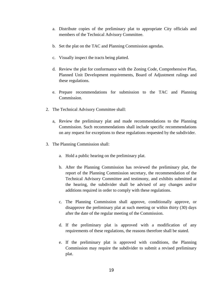- a. Distribute copies of the preliminary plat to appropriate City officials and members of the Technical Advisory Committee.
- b. Set the plat on the TAC and Planning Commission agendas.
- c. Visually inspect the tracts being platted.
- d. Review the plat for conformance with the Zoning Code, Comprehensive Plan, Planned Unit Development requirements, Board of Adjustment rulings and these regulations.
- e. Prepare recommendations for submission to the TAC and Planning Commission.
- 2. The Technical Advisory Committee shall:
	- a, Review the preliminary plat and made recommendations to the Planning Commission. Such recommendations shall include specific recommendations on any request for exceptions to these regulations requested by the subdivider.
- 3. The Planning Commission shall:
	- a. Hold a public hearing on the preliminary plat.
	- b. After the Planning Commission has reviewed the preliminary plat, the report of the Planning Commission secretary, the recommendation of the Technical Advisory Committee and testimony, and exhibits submitted at the hearing, the subdivider shall be advised of any changes and/or additions required in order to comply with these regulations.
	- c. The Planning Commission shall approve, conditionally approve, or disapprove the preliminary plat at such meeting or within thirty (30) days after the date of the regular meeting of the Commission.
	- d. If the preliminary plat is approved with a modification of any requirements of these regulations, the reasons therefore shall be stated.
	- e. If the preliminary plat is approved with conditions, the Planning Commission may require the subdivider to submit a revised preliminary plat.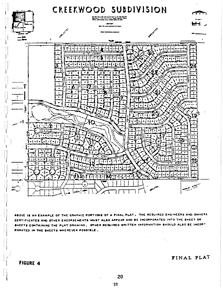

AROVE IS AN EXAMPLE OF THE GRAPHIC PORTIONS OF A FINAL PLAT. THE REQUIRED ENGINEERS AND OWNERS CERTIFICATES AND OTHER ENDORSEMENTS MUST ALSO APPEAR AND BE INCORPORATED INTO THE SHEET OR SHEETS CONTAINING THE PLAT DRAWING. OTHER REQUIRED WRITTEN INFORMATION SHOULD ALSO BE INCORT PORATED IN THE SHEETS WHEREVER POSSIBLE.

**FIGURE 4** 

FINAL PLAT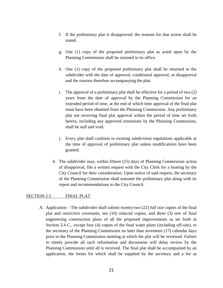- f. If the preliminary plat is disapproved, the reasons for that action shall be stated.
- g. One (1) copy of the proposed preliminary plat as acted upon by the Planning Commission shall be retained in its office.
- h. One (1) copy of the proposed preliminary plat shall be returned to the subdivider with the date of approval, conditional approval, or disapproval and the reasons therefore accompanying the plat.
- i. The approval of a preliminary plat shall be effective for a period of two (2) years from the date of approval by the Planning Commission for an extended period of time, at the end of which time approval of the final plat must have been obtained from the Planning Commission. Any preliminary plat not receiving final plat approval within the period of time set forth herein, including any approved extensions by the Planning Commission, shall be null and void.
- j. Every plat shall conform to existing subdivision regulations applicable at the time of approval of preliminary plat unless modifications have been granted.
- 4. The subdivider may, within fifteen (15) days of Planning Commission action of disapproval, file a written request with the City Clerk for a hearing by the City Council for their consideration. Upon notice of said request, the secretary of the Planning Commission shall transmit the preliminary plat along with its report and recommendations to the City Council.

#### SECTION 2.5 FINAL PLAT

A. Application – The subdivider shall submit twenty-two (22) full size copies of the final plat and restrictive covenants, ten (10) reduced copies, and three (3) sets of final engineering construction plans of all the proposed improvements as set forth in Section 2.4 C., except four (4) copies of the final water plans (including off-site), to the secretary of the Planning Commission no later than seventeen (17) calendar days prior to the Planning Commission meeting at which the plat will be reviewed. Failure to timely provide all such information and documents will delay review by the Planning Commission until all is received. The final plat shall be accompanied by an application, the forms for which shall be supplied by the secretary and a fee as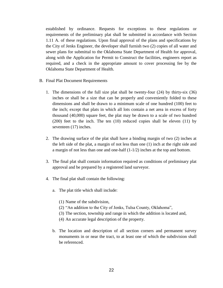established by ordinance. Requests for exceptions to these regulations or requirements of the preliminary plat shall be submitted in accordance with Section 1.11 A. of these regulations. Upon final approval of the plans and specifications by the City of Jenks Engineer, the developer shall furnish two (2) copies of all water and sewer plans for submittal to the Oklahoma State Department of Health for approval, along with the Application for Permit to Construct the facilities, engineers report as required, and a check in the appropriate amount to cover processing fee by the Oklahoma State Department of Health.

- B. Final Plat Document Requirements
	- 1. The dimensions of the full size plat shall be twenty-four (24) by thirty-six (36) inches or shall be a size that can be properly and conveniently folded to these dimensions and shall be drawn to a minimum scale of one hundred (100) feet to the inch; except that plats in which all lots contain a net area in excess of forty thousand (40,000) square feet, the plat may be drawn to a scale of two hundred (200) feet to the inch. The ten (10) reduced copies shall be eleven (11) by seventeen (17) inches.
	- 2. The drawing surface of the plat shall have a binding margin of two (2) inches at the left side of the plat, a margin of not less than one (1) inch at the right side and a margin of not less than one and one-half (1-1/2) inches at the top and bottom.
	- 3. The final plat shall contain information required as conditions of preliminary plat approval and be prepared by a registered land surveyor.
	- 4. The final plat shall contain the following:
		- a. The plat title which shall include:
			- (1) Name of the subdivision,
			- (2) "An addition to the City of Jenks, Tulsa County, Oklahoma",
			- (3) The section, township and range in which the addition is located and,
			- (4) An accurate legal description of the property.
		- b. The location and description of all section corners and permanent survey monuments in or near the tract, to at least one of which the subdivision shall be referenced.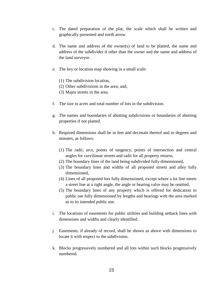- c. The dated preparation of the plat, the scale which shall be written and graphically presented and north arrow.
- d. The name and address of the owner(s) of land to be platted, the name and address of the subdivider if other than the owner and the name and address of the land surveyor.
- e. The key or location map showing in a small scale:
	- (1) The subdivision location,
	- (2) Other subdivisions in the area; and,
	- (3) Major streets in the area.
- f. The size in acres and total number of lots in the subdivision.
- g. The names and boundaries of abutting subdivisions or boundaries of abutting properties if not platted.
- h. Required dimensions shall be in feet and decimals thereof and in degrees and minutes, as follows:
	- (1) The radii, arcs, points of tangency, points of intersection and central angles for curvilinear streets and radii for all property returns,
	- (2) The boundary lines of the land being subdivided fully dimensioned,
	- (3) The boundary lines and widths of all proposed streets and alley fully dimensioned,
	- (4) Lines of all proposed lots fully dimensioned, except where a lot line meets a street line at a right angle, the angle or bearing valve may be omitted,
	- (5) The boundary lines of any property which is offered for dedication to public use fully dimensioned by lengths and bearings with the area marked as to its intended public use.
- i. The locations of easements for public utilities and building setback lines with dimensions and widths and clearly identified.
- j. Easements, if already of record, shall be shown as above with dimensions to locate it with respect to the subdivision.
- k. Blocks progressively numbered and all lots within such blocks progressively numbered.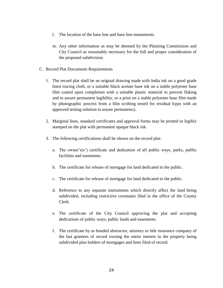- l. The location of the base line and base line monuments.
- m. Any other information as may be deemed by the Planning Commission and City Council as reasonably necessary for the full and proper consideration of the proposed subdivision.
- C. Record Plat Documents Requirements
	- 1. The record plat shall be an original drawing made with India ink on a good grade linen tracing cloth, or a suitable black acetate base ink on a stable polyester base film coated upon completion with a suitable plastic material to prevent flaking and to assure permanent legibility, or a print on a stable polyester base film made by photographic process from a film scribing tested for residual hypo with an approved testing solution to assure permanency.
	- 2. Marginal lines, standard certificates and approval forms may be printed or legibly stamped on the plat with permanent opaque black ink.
	- 3. The following certifications shall be shown on the record plat:
		- a. The owner's(s') certificate and dedication of all public ways, parks, public facilities and easements.
		- b. The certificate for release of mortgage for land dedicated to the public.
		- c. The certificate for release of mortgage for land dedicated to the public.
		- d. Reference to any separate instruments which directly affect the land being subdivided, including restrictive covenants filed in the office of the County Clerk.
		- e. The certificate of the City Council approving the plat and accepting dedications of public ways, public lands and easements.
		- f. The certificate by as bonded abstractor, attorney or title insurance company of the last grantees of record owning the entire interest in the property being subdivided plus holders of mortgages and liens filed of record.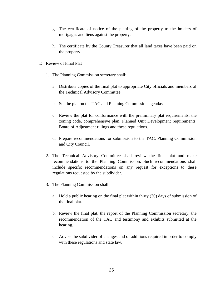- g. The certificate of notice of the platting of the property to the holders of mortgages and liens against the property.
- h. The certificate by the County Treasurer that all land taxes have been paid on the property.
- D. Review of Final Plat
	- 1. The Planning Commission secretary shall:
		- a. Distribute copies of the final plat to appropriate City officials and members of the Technical Advisory Committee.
		- b. Set the plat on the TAC and Planning Commission agendas.
		- c. Review the plat for conformance with the preliminary plat requirements, the zoning code, comprehensive plan, Planned Unit Development requirements, Board of Adjustment rulings and these regulations.
		- d. Prepare recommendations for submission to the TAC, Planning Commission and City Council.
	- 2. The Technical Advisory Committee shall review the final plat and make recommendations to the Planning Commission. Such recommendations shall include specific recommendations on any request for exceptions to these regulations requested by the subdivider.
	- 3. The Planning Commission shall:
		- a. Hold a public hearing on the final plat within thirty (30) days of submission of the final plat.
		- b. Review the final plat, the report of the Planning Commission secretary, the recommendation of the TAC and testimony and exhibits submitted at the hearing.
		- c. Advise the subdivider of changes and or additions required in order to comply with these regulations and state law.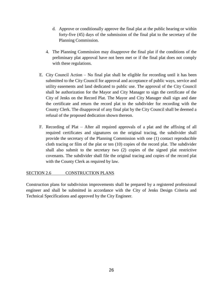- d. Approve or conditionally approve the final plat at the public hearing or within forty-five (45) days of the submission of the final plat to the secretary of the Planning Commission.
- 4. The Planning Commission may disapprove the final plat if the conditions of the preliminary plat approval have not been met or if the final plat does not comply with these regulations.
- E. City Council Action No final plat shall be eligible for recording until it has been submitted to the City Council for approval and acceptance of public ways, service and utility easements and land dedicated to public use. The approval of the City Council shall be authorization for the Mayor and City Manager to sign the certificate of the City of Jenks on the Record Plat. The Mayor and City Manager shall sign and date the certificate and return the record plat to the subdivider for recording with the County Clerk. The disapproval of any final plat by the City Council shall be deemed a refusal of the proposed dedication shown thereon.
- F. Recording of Plat After all required approvals of a plat and the affixing of all required certificates and signatures on the original tracing, the subdivider shall provide the secretary of the Planning Commission with one (1) contact reproducible cloth tracing or film of the plat or ten (10) copies of the record plat. The subdivider shall also submit to the secretary two (2) copies of the signed plat restrictive covenants. The subdivider shall file the original tracing and copies of the record plat with the County Clerk as required by law.

#### SECTION 2.6 CONSTRUCTION PLANS

Construction plans for subdivision improvements shall be prepared by a registered professional engineer and shall be submitted in accordance with the City of Jenks Design Criteria and Technical Specifications and approved by the City Engineer.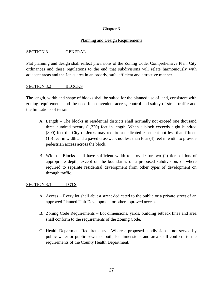#### Chapter 3

#### Planning and Design Requirements

#### SECTION 3.1 GENERAL

Plat planning and design shall reflect provisions of the Zoning Code, Comprehensive Plan, City ordinances and these regulations to the end that subdivisions will relate harmoniously with adjacent areas and the Jenks area in an orderly, safe, efficient and attractive manner.

#### SECTION 3.2 BLOCKS

The length, width and shape of blocks shall be suited for the planned use of land, consistent with zoning requirements and the need for convenient access, control and safety of street traffic and the limitations of terrain.

- A. Length The blocks in residential districts shall normally not exceed one thousand three hundred twenty (1,320) feet in length. When a block exceeds eight hundred (800) feet the City of Jenks may require a dedicated easement not less than fifteen (15) feet in width and a paved crosswalk not less than four (4) feet in width to provide pedestrian access across the block.
- B. Width Blocks shall have sufficient width to provide for two (2) tiers of lots of appropriate depth, except on the boundaries of a proposed subdivision, or where required to separate residential development from other types of development on through traffic.

#### SECTION 3.3 LOTS

- A. Access Every lot shall abut a street dedicated to the public or a private street of an approved Planned Unit Development or other approved access.
- B. Zoning Code Requirements Lot dimensions, yards, building setback lines and area shall conform to the requirements of the Zoning Code.
- C. Health Department Requirements Where a proposed subdivision is not served by public water or public sewer or both, lot dimensions and area shall conform to the requirements of the County Health Department.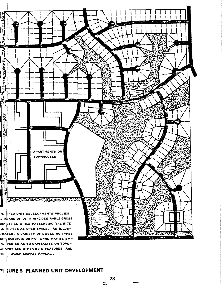

FI JURE 5 PLANNED UNIT DEVELOPMENT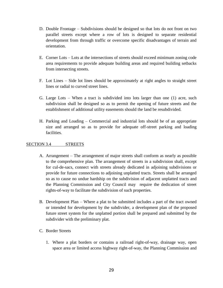- D. Double Frontage Subdivisions should be designed so that lots do not front on two parallel streets except where a row of lots is designed to separate residential development from through traffic or overcome specific disadvantages of terrain and orientation.
- E. Corner Lots Lots at the intersections of streets should exceed minimum zoning code area requirements to provide adequate building areas and required building setbacks from intersecting streets.
- F. Lot Lines Side lot lines should be approximately at right angles to straight street lines or radial to curved street lines.
- G. Large Lots When a tract is subdivided into lots larger than one (1) acre, such subdivision shall be designed so as to permit the opening of future streets and the establishment of additional utility easements should the land be resubdivided.
- H. Parking and Loading Commercial and industrial lots should be of an appropriate size and arranged so as to provide for adequate off-street parking and loading facilities.

#### SECTION 3.4 STREETS

- A. Arrangement The arrangement of major streets shall conform as nearly as possible to the comprehensive plan. The arrangement of streets in a subdivision shall, except for cul-de-sacs, connect with streets already dedicated in adjoining subdivisions or provide for future connections to adjoining unplatted tracts. Streets shall be arranged so as to cause no undue hardship on the subdivision of adjacent unplatted tracts and the Planning Commission and City Council may require the dedication of street rights-of-way to facilitate the subdivision of such properties.
- B. Development Plan Where a plat to be submitted includes a part of the tract owned or intended for development by the subdivider, a development plan of the proposed future street system for the unplatted portion shall be prepared and submitted by the subdivider with the preliminary plat.
- C. Border Streets
	- 1. Where a plat borders or contains a railroad right-of-way, drainage way, open space area or limited access highway right-of-way, the Planning Commission and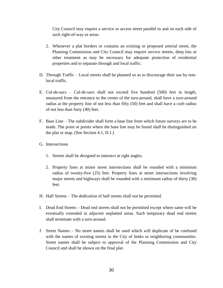City Council may require a service or access street parallel to and on each side of such right-of-way or areas.

- 2. Whenever a plat borders or contains an existing or proposed arterial street, the Planning Commission and City Council may require service streets, deep lots or other treatment as may be necessary for adequate protection of residential properties and to separate through and local traffic.
- D. Through Traffic Local streets shall be planned so as to discourage their use by nonlocal traffic.
- E. Cul-de-sacs Cul-de-sacs shall not exceed five hundred (500) feet in length, measured from the entrance to the center of the turn-around, shall have a turn-around radius at the property line of not less than fifty (50) feet and shall have a curb radius of not less than forty (40) feet.
- F. Base Line The subdivider shall form a base line from which future surveys are to be made. The point or points where the base line may be found shall be distinguished on the plat or map. (See Section 4.1, D.1.)
- G. Intersections
	- 1. Streets shall be designed to intersect at right angles.
	- 2. Property lines at minor street intersections shall be rounded with a minimum radius of twenty-five (25) feet. Property lines at street intersections involving major streets and highways shall be rounded with a minimum radius of thirty (30) feet.
- H. Half Streets The dedication of half streets shall not be permitted.
- I. Dead End Streets Dead end streets shall not be permitted except where same will be eventually extended in adjacent unplatted areas. Such temporary dead end streets shall terminate with a turn-around.
- J. Street Names No street names shall be used which will duplicate of be confused with the names of existing streets in the City of Jenks or neighboring communities. Street names shall be subject to approval of the Planning Commission and City Council and shall be shown on the final plat.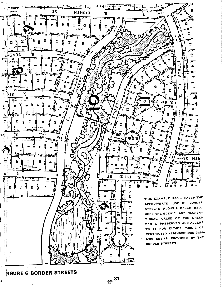

 $27 \frac{31}{2}$ 

 $\mathbf{r}$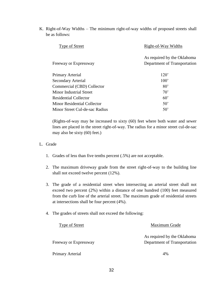K. Right-of-Way Widths – The minimum right-of-way widths of proposed streets shall be as follows:

| Right-of-Way Widths                                         |
|-------------------------------------------------------------|
| As required by the Oklahoma<br>Department of Transportation |
| 120'                                                        |
| 100'                                                        |
| $80^{\circ}$                                                |
| $70^{\circ}$                                                |
| $60^{\circ}$                                                |
| $50^{\circ}$                                                |
| $50^{\circ}$                                                |
|                                                             |

(Rights-of-way may be increased to sixty (60) feet where both water and sewer lines are placed in the street right-of-way. The radius for a minor street cul-de-sac may also be sixty (60) feet.)

#### L. Grade

- 1. Grades of less than five tenths percent (.5%) are not acceptable.
- 2. The maximum driveway grade from the street right-of-way to the building line shall not exceed twelve percent (12%).
- 3. The grade of a residential street when intersecting an arterial street shall not exceed two percent (2%) within a distance of one hundred (100) feet measured from the curb line of the arterial street. The maximum grade of residential streets at intersections shall be four percent (4%).
- 4. The grades of streets shall not exceed the following:

| Type of Street        | Maximum Grade                |
|-----------------------|------------------------------|
|                       | As required by the Oklahoma  |
| Freeway or Expressway | Department of Transportation |
| Primary Arterial      | 4%                           |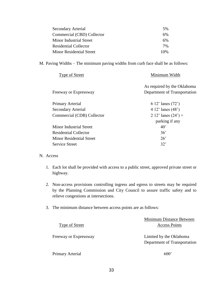| Secondary Arterial              | 5%  |
|---------------------------------|-----|
| Commercial (CBD) Collector      | 6%  |
| Minor Industrial Street         | 6%  |
| <b>Residential Collector</b>    | 7%  |
| <b>Minor Residential Street</b> | 10% |

M. Paving Widths – The minimum paving widths from curb face shall be as follows:

| Type of Street                  | Minimum Width                                               |
|---------------------------------|-------------------------------------------------------------|
| Freeway or Expressway           | As required by the Oklahoma<br>Department of Transportation |
| Primary Arterial                | 6.12' lanes $(72')$                                         |
| <b>Secondary Arterial</b>       | 4 12' lanes $(48')$                                         |
| Commercial (CDB) Collector      | 2 12' lanes $(24') +$                                       |
|                                 | parking if any                                              |
| <b>Minor Industrial Street</b>  | $40^{\circ}$                                                |
| <b>Residential Collector</b>    | 36'                                                         |
| <b>Minor Residential Street</b> | 26'                                                         |
| <b>Service Street</b>           | 32'                                                         |
|                                 |                                                             |

#### N. Access

- 1. Each lot shall be provided with access to a public street, approved private street or highway.
- 2. Non-access provisions controlling ingress and egress to streets may be required by the Planning Commission and City Council to assure traffic safety and to relieve congestions at intersections.
- 3. The minimum distance between access points are as follows:

|                       | Minimum Distance Between                                |
|-----------------------|---------------------------------------------------------|
| <b>Type of Street</b> | <b>Access Points</b>                                    |
| Freeway or Expressway | Limited by the Oklahoma<br>Department of Transportation |
| Primary Arterial      | 600'                                                    |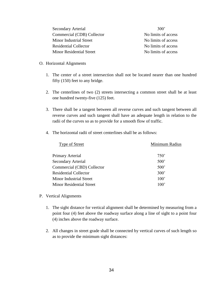Secondary Arterial 300' Commercial (CDB) Collector No limits of access Minor Industrial Street No limits of access Residential Collector No limits of access Minor Residential Street No limits of access

- O. Horizontal Alignments
	- 1. The center of a street intersection shall not be located nearer than one hundred fifty (150) feet to any bridge.
	- 2. The centerlines of two (2) streets intersecting a common street shall be at least one hundred twenty-five (125) feet.
	- 3. There shall be a tangent between all reverse curves and such tangent between all reverse curves and such tangent shall have an adequate length in relation to the radii of the curves so as to provide for a smooth flow of traffic.
	- 4. The horizontal radii of street centerlines shall be as follows:

| Type of Street                  | Minimum Radius |  |
|---------------------------------|----------------|--|
| Primary Arterial                | 750'           |  |
| <b>Secondary Arterial</b>       | 500'           |  |
| Commercial (CBD) Collector      | 500'           |  |
| <b>Residential Collector</b>    | 300'           |  |
| Minor Industrial Street         | 100'           |  |
| <b>Minor Residential Street</b> | 100'           |  |
|                                 |                |  |

- P. Vertical Alignments
	- 1. The sight distance for vertical alignment shall be determined by measuring from a point four (4) feet above the roadway surface along a line of sight to a point four (4) inches above the roadway surface.
	- 2. All changes in street grade shall be connected by vertical curves of such length so as to provide the minimum sight distances: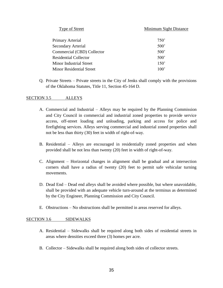Type of Street Minimum Sight Distance

| Primary Arterial             | 750' |
|------------------------------|------|
| <b>Secondary Arterial</b>    | 500' |
| Commercial (CBD) Collector   | 500' |
| <b>Residential Collector</b> | 500' |
| Minor Industrial Street      | 150' |
| Minor Residential Street     | 100' |

Q. Private Streets – Private streets in the City of Jenks shall comply with the provisions of the Oklahoma Statutes, Title 11, Section 45-164 D.

#### SECTION 3.5 ALLEYS

- A. Commercial and Industrial Alleys may be required by the Planning Commission and City Council in commercial and industrial zoned properties to provide service access, off-street loading and unloading, parking and access for police and firefighting services. Alleys serving commercial and industrial zoned properties shall not be less than thirty (30) feet in width of right-of-way.
- B. Residential Alleys are encouraged in residentially zoned properties and when provided shall be not less than twenty (20) feet in width of right-of-way.
- C. Alignment Horizontal changes in alignment shall be gradual and at intersection corners shall have a radius of twenty (20) feet to permit safe vehicular turning movements.
- D. Dead End Dead end alleys shall be avoided where possible, but where unavoidable, shall be provided with an adequate vehicle turn-around at the terminus as determined by the City Engineer, Planning Commission and City Council.
- E. Obstructions No obstructions shall be permitted in areas reserved for alleys.

#### SECTION 3.6 SIDEWALKS

- A. Residential Sidewalks shall be required along both sides of residential streets in areas where densities exceed three (3) homes per acre.
- B. Collector Sidewalks shall be required along both sides of collector streets.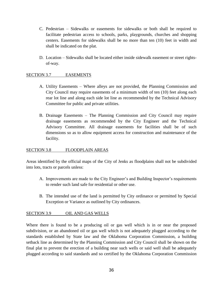- C. Pedestrian Sidewalks or easements for sidewalks or both shall be required to facilitate pedestrian access to schools, parks, playgrounds, churches and shopping centers. Easements for sidewalks shall be no more than ten (10) feet in width and shall be indicated on the plat.
- D. Location Sidewalks shall be located either inside sidewalk easement or street rightsof-way.

#### SECTION 3.7 EASEMENTS

- A. Utility Easements Where alleys are not provided, the Planning Commission and City Council may require easements of a minimum width of ten (10) feet along each rear lot line and along each side lot line as recommended by the Technical Advisory Committee for public and private utilities.
- B. Drainage Easements The Planning Commission and City Council may require drainage easements as recommended by the City Engineer and the Technical Advisory Committee. All drainage easements for facilities shall be of such dimensions so as to allow equipment access for construction and maintenance of the facility.

#### SECTION 3.8 FLOODPLAIN AREAS

Areas identified by the official maps of the City of Jenks as floodplains shall not be subdivided into lots, tracts or parcels unless:

- A. Improvements are made to the City Engineer's and Building Inspector's requirements to render such land safe for residential or other use.
- B. The intended use of the land is permitted by City ordinance or permitted by Special Exception or Variance as outlined by City ordinances.

#### SECTION 3.9 OIL AND GAS WELLS

Where there is found to be a producing oil or gas well which is in or near the proposed subdivision, or an abandoned oil or gas well which is not adequately plugged according to the standards established by State law and the Oklahoma Corporation Commission, a building setback line as determined by the Planning Commission and City Council shall be shown on the final plat to prevent the erection of a building near such wells or said well shall be adequately plugged according to said standards and so certified by the Oklahoma Corporation Commission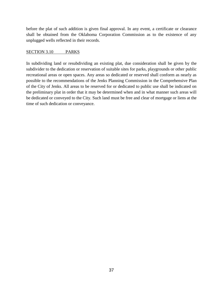before the plat of such addition is given final approval. In any event, a certificate or clearance shall be obtained from the Oklahoma Corporation Commission as to the existence of any unplugged wells reflected in their records.

#### SECTION 3.10 PARKS

In subdividing land or resubdividing an existing plat, due consideration shall be given by the subdivider to the dedication or reservation of suitable sites for parks, playgrounds or other public recreational areas or open spaces. Any areas so dedicated or reserved shall conform as nearly as possible to the recommendations of the Jenks Planning Commission in the Comprehensive Plan of the City of Jenks. All areas to be reserved for or dedicated to public use shall be indicated on the preliminary plat in order that it may be determined when and in what manner such areas will be dedicated or conveyed to the City. Such land must be free and clear of mortgage or liens at the time of such dedication or conveyance.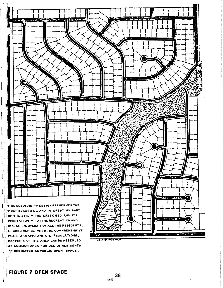

**FIGURE 7 OPEN SPACE**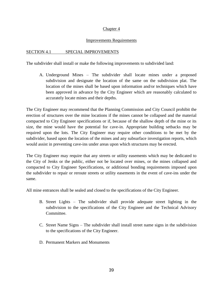#### Chapter 4

#### Improvements Requirements

#### SECTION 4.1 SPECIAL IMPROVEMENTS

The subdivider shall install or make the following improvements to subdivided land:

A. Underground Mines – The subdivider shall locate mines under a proposed subdivision and designate the location of the same on the subdivision plat. The location of the mines shall be based upon information and/or techniques which have been approved in advance by the City Engineer which are reasonably calculated to accurately locate mines and their depths.

The City Engineer may recommend that the Planning Commission and City Council prohibit the erection of structures over the mine locations if the mines cannot be collapsed and the material compacted to City Engineer specifications or if, because of the shallow depth of the mine or its size, the mine would have the potential for cave-in. Appropriate building setbacks may be required upon the lots. The City Engineer may require other conditions to be met by the subdivider, based upon the location of the mines and any subsurface investigation reports, which would assist in preventing cave-ins under areas upon which structures may be erected.

The City Engineer may require that any streets or utility easements which may be dedicated to the City of Jenks or the public, either not be located over mines, or the mines collapsed and compacted to City Engineer Specifications, or additional bonding requirements imposed upon the subdivider to repair or reroute streets or utility easements in the event of cave-ins under the same.

All mine entrances shall be sealed and closed to the specifications of the City Engineer.

- B. Street Lights The subdivider shall provide adequate street lighting in the subdivision to the specifications of the City Engineer and the Technical Advisory Committee.
- C. Street Name Signs The subdivider shall install street name signs in the subdivision to the specifications of the City Engineer.
- D. Permanent Markers and Monuments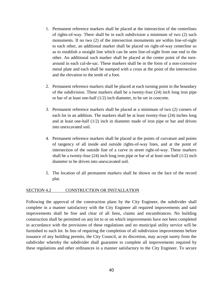- 1. Permanent reference markers shall be placed at the intersection of the centerlines of rights-of-way. There shall be in each subdivision a minimum of two (2) such monuments. If no two (2) of the intersection monuments are within line-of-sight to each other, an additional marker shall be placed on right-of-way centerline so as to establish a straight line which can be seen line-of-sight from one end to the other. An additional such marker shall be placed at the center point of the turnaround in each cul-de-sac. These markers shall be in the form of a non-corrosive metal plate and each shall be stamped with a cross at the point of the intersection and the elevation to the tenth of a foot.
- 2. Permanent reference markers shall be placed at each turning point in the boundary of the subdivision. These markers shall be a twenty-four (24) inch long iron pipe or bar of at least one-half (1/2) inch diameter, to be set in concrete.
- 3. Permanent reference markers shall be placed at a minimum of two (2) corners of each lot in an addition. The markers shall be at least twenty-four (24) inches long and at least one-half (1/2) inch in diameter made of iron pipe or bar and driven into unexcavated soil.
- 4. Permanent reference markers shall be placed at the points of curvature and points of tangency of all inside and outside rights-of-way lines, and at the point of intersection of the outside line of a curve in street right-of-way. These markers shall be a twenty-four (24) inch long iron pipe or bar of at least one-half (1/2) inch diameter to be driven into unexcavated soil.
- 5. The location of all permanent markers shall be shown on the face of the record plat.

#### SECTION 4.2 CONSTRUCTION OR INSTALLATION

Following the approval of the construction plans by the City Engineer, the subdivider shall complete in a manner satisfactory with the City Engineer all required improvements and said improvements shall be free and clear of all liens, claims and encumbrances. No building construction shall be permitted on any lot to or on which improvements have not been completed in accordance with the provisions of these regulations and no municipal utility service will be furnished to such lot. In lieu of requiring the completion of all subdivision improvements before issuance of any building permits, the City Council, at its discretion, may accept surety from the subdivider whereby the subdivider shall guarantee to complete all improvements required by these regulations and other ordinances in a manner satisfactory to the City Engineer. To secure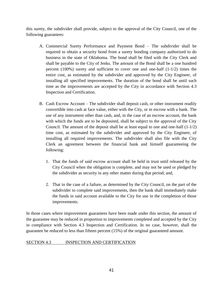this surety, the subdivider shall provide, subject to the approval of the City Council, one of the following guarantees:

- A. Commercial Surety Performance and Payment Bond The subdivider shall be required to obtain a security bond from a surety bonding company authorized to do business in the state of Oklahoma. The bond shall be filed with the City Clerk and shall be payable to the City of Jenks. The amount of the Bond shall be a one hundred percent  $(100%)$  surety and sufficient to cover one and one-half  $(1-1/2)$  times the entire cost, as estimated by the subdivider and approved by the City Engineer, of installing all specified improvements. The duration of the bond shall be until such time as the improvements are accepted by the City in accordance with Section 4.3 Inspection and Certification.
- B. Cash Escrow Account The subdivider shall deposit cash, or other instrument readily convertible into cash at face value, either with the City, or in escrow with a bank. The use of any instrument other than cash, and, in the case of an escrow account, the bank with which the funds are to be deposited, shall be subject to the approval of the City Council. The amount of the deposit shall be at least equal to one and one-half (1-1/2) time cost, as estimated by the subdivider and approved by the City Engineer, of installing all required improvements. The subdivider shall also file with the City Clerk an agreement between the financial bank and himself guaranteeing the following:
	- 1. That the funds of said escrow account shall be held in trust until released by the City Council when the obligation is complete, and may not be used or pledged by the subdivider as security in any other matter during that period; and,
	- 2. That in the case of a failure, as determined by the City Council, on the part of the subdivider to complete said improvements, then the bank shall immediately make the funds in said account available to the City for use in the completion of those improvements.

In those cases where improvement guarantees have been made under this section, the amount of the guarantee may be reduced in proportion to improvements completed and accepted by the City in compliance with Section 4.3 Inspection and Certification. In no case, however, shall the guarantee be reduced to less than fifteen percent (15%) of the original guaranteed amount.

#### SECTION 4.3 INSPECTION AND CERTIFICATION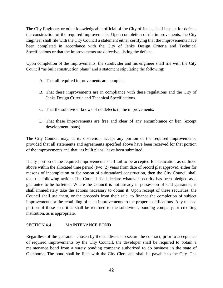The City Engineer, or other knowledgeable official of the City of Jenks, shall inspect for defects the construction of the required improvements. Upon completion of the improvements, the City Engineer shall file with the City Council a statement either certifying that the improvements have been completed in accordance with the City of Jenks Design Criteria and Technical Specifications or that the improvements are defective, listing the defects.

Upon completion of the improvements, the subdivider and his engineer shall file with the City Council "as built construction plans" and a statement stipulating the following:

- A. That all required improvements are complete.
- B. That these improvements are in compliance with these regulations and the City of Jenks Design Criteria and Technical Specifications.
- C. That the subdivider knows of no defects in the improvements.
- D. That these improvements are free and clear of any encumbrance or lien (except development loans).

The City Council may, at its discretion, accept any portion of the required improvements, provided that all statements and agreements specified above have been received for that portion of the improvements and that "as built plans" have been submitted.

If any portion of the required improvements shall fail to be accepted for dedication as outlined above within the allocated time period (two (2) years from date of record plat approve), either for reasons of incompletion or for reason of substandard construction, then the City Council shall take the following action: The Council shall declare whatever security has been pledged as a guarantee to be forfeited. Where the Council is not already in possession of said guarantee, it shall immediately take the actions necessary to obtain it. Upon receipt of these securities, the Council shall use them, or the proceeds from their sale, to finance the completion of subject improvements or the rebuilding of such improvements to the proper specifications. Any unused portion of these securities shall be returned to the subdivider, bonding company, or crediting institution, as is appropriate.

#### SECTION 4.4 MAINTENANCE BOND

Regardless of the guarantee chosen by the subdivider to secure the contract, prior to acceptance of required improvements by the City Council, the developer shall be required to obtain a maintenance bond from a surety bonding company authorized to do business in the state of Oklahoma. The bond shall be filed with the City Clerk and shall be payable to the City. The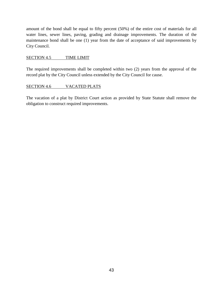amount of the bond shall be equal to fifty percent (50%) of the entire cost of materials for all water lines, sewer lines, paving, grading and drainage improvements. The duration of the maintenance bond shall be one (1) year from the date of acceptance of said improvements by City Council.

#### SECTION 4.5 TIME LIMIT

The required improvements shall be completed within two (2) years from the approval of the record plat by the City Council unless extended by the City Council for cause.

#### SECTION 4.6 VACATED PLATS

The vacation of a plat by District Court action as provided by State Statute shall remove the obligation to construct required improvements.